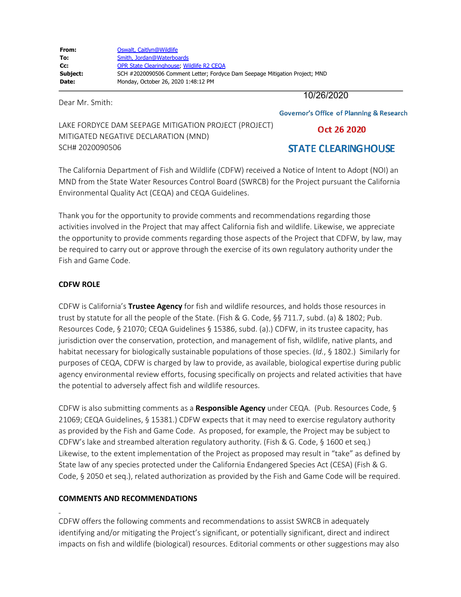Dear Mr. Smith:

10/26/2020

**Governor's Office of Planning & Research** 

LAKE FORDYCE DAM SEEPAGE MITIGATION PROJECT (PROJECT) MITIGATED NEGATIVE DECLARATION (MND) SCH# 2020090506

# **STATE CLEARINGHOUSE**

Oct 26 2020

The California Department of Fish and Wildlife (CDFW) received a Notice of Intent to Adopt (NOI) an MND from the State Water Resources Control Board (SWRCB) for the Project pursuant the California Environmental Quality Act (CEQA) and CEQA Guidelines.

Thank you for the opportunity to provide comments and recommendations regarding those activities involved in the Project that may affect California fish and wildlife. Likewise, we appreciate the opportunity to provide comments regarding those aspects of the Project that CDFW, by law, may be required to carry out or approve through the exercise of its own regulatory authority under the Fish and Game Code.

#### **CDFW ROLE**

CDFW is California's **Trustee Agency** for fish and wildlife resources, and holds those resources in trust by statute for all the people of the State. (Fish & G. Code, §§ 711.7, subd. (a) & 1802; Pub. Resources Code, § 21070; CEQA Guidelines § 15386, subd. (a).) CDFW, in its trustee capacity, has jurisdiction over the conservation, protection, and management of fish, wildlife, native plants, and habitat necessary for biologically sustainable populations of those species. (*Id.*, § 1802.) Similarly for purposes of CEQA, CDFW is charged by law to provide, as available, biological expertise during public agency environmental review efforts, focusing specifically on projects and related activities that have the potential to adversely affect fish and wildlife resources.

CDFW is also submitting comments as a **Responsible Agency** under CEQA. (Pub. Resources Code, § 21069; CEQA Guidelines, § 15381.) CDFW expects that it may need to exercise regulatory authority as provided by the Fish and Game Code. As proposed, for example, the Project may be subject to CDFW's lake and streambed alteration regulatory authority. (Fish & G. Code, § 1600 et seq.) Likewise, to the extent implementation of the Project as proposed may result in "take" as defined by State law of any species protected under the California Endangered Species Act (CESA) (Fish & G. Code, § 2050 et seq.), related authorization as provided by the Fish and Game Code will be required.

## **COMMENTS AND RECOMMENDATIONS**

CDFW offers the following comments and recommendations to assist SWRCB in adequately identifying and/or mitigating the Project's significant, or potentially significant, direct and indirect impacts on fish and wildlife (biological) resources. Editorial comments or other suggestions may also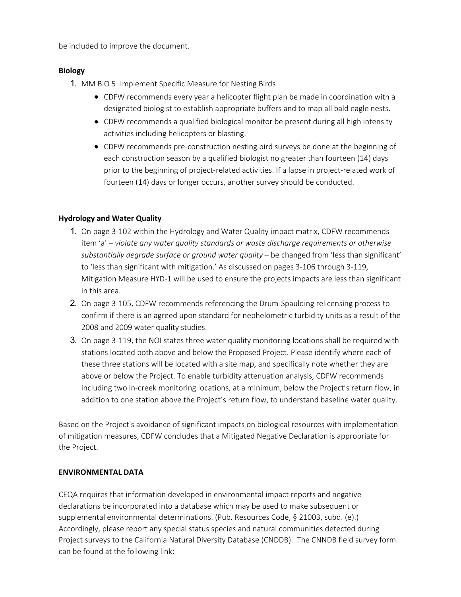be included to improve the document.

#### **Biology**

- 1. MM BIO 5: Implement Specific Measure for Nesting Birds
	- CDFW recommends every year a helicopter flight plan be made in coordination with a designated biologist to establish appropriate buffers and to map all bald eagle nests.
	- CDFW recommends a qualified biological monitor be present during all high intensity activities including helicopters or blasting.
	- CDFW recommends pre-construction nesting bird surveys be done at the beginning of each construction season by a qualified biologist no greater than fourteen (14) days prior to the beginning of project-related activities. If a lapse in project-related work of fourteen (14) days or longer occurs, another survey should be conducted.

## **Hydrology and Water Quality**

- 1. On page 3-102 within the Hydrology and Water Quality impact matrix, CDFW recommends item 'a' – *violate any water quality standards or waste discharge requirements or otherwise substantially degrade surface or ground water quality* – be changed from 'less than significant' to 'less than significant with mitigation.' As discussed on pages 3-106 through 3-119, Mitigation Measure HYD-1 will be used to ensure the projects impacts are less than significant in this area.
- 2. On page 3-105, CDFW recommends referencing the Drum-Spaulding relicensing process to confirm if there is an agreed upon standard for nephelometric turbidity units as a result of the 2008 and 2009 water quality studies.
- 3. On page 3-119, the NOI states three water quality monitoring locations shall be required with stations located both above and below the Proposed Project. Please identify where each of these three stations will be located with a site map, and specifically note whether they are above or below the Project. To enable turbidity attenuation analysis, CDFW recommends including two in-creek monitoring locations, at a minimum, below the Project's return flow, in addition to one station above the Project's return flow, to understand baseline water quality.

Based on the Project's avoidance of significant impacts on biological resources with implementation of mitigation measures, CDFW concludes that a Mitigated Negative Declaration is appropriate for the Project.

## **ENVIRONMENTAL DATA**

CEQA requires that information developed in environmental impact reports and negative declarations be incorporated into a database which may be used to make subsequent or supplemental environmental determinations. (Pub. Resources Code, § 21003, subd. (e).) Accordingly, please report any special status species and natural communities detected during Project surveys to the California Natural Diversity Database (CNDDB). The CNNDB field survey form can be found at the following link: